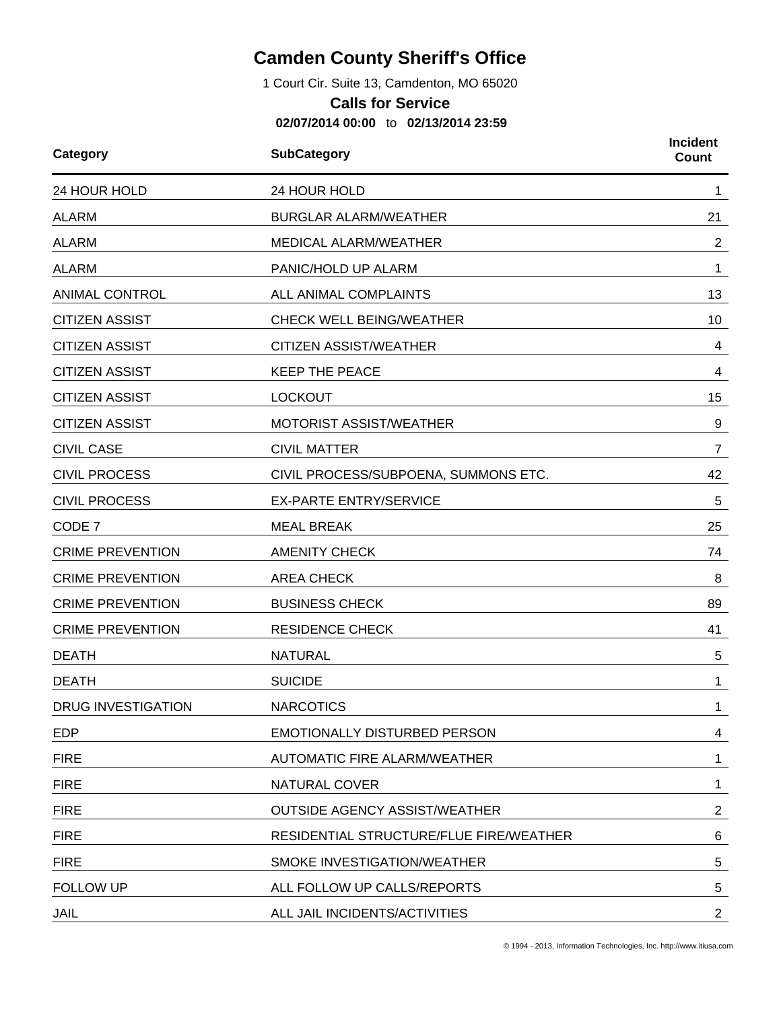## **Camden County Sheriff's Office**

1 Court Cir. Suite 13, Camdenton, MO 65020

## **Calls for Service**

**02/07/2014 00:00** to **02/13/2014 23:59**

| Category                | <b>SubCategory</b>                      | <b>Incident</b><br><b>Count</b> |
|-------------------------|-----------------------------------------|---------------------------------|
| 24 HOUR HOLD            | 24 HOUR HOLD                            | 1                               |
| <b>ALARM</b>            | <b>BURGLAR ALARM/WEATHER</b>            | 21                              |
| <b>ALARM</b>            | <b>MEDICAL ALARM/WEATHER</b>            | $\overline{2}$                  |
| <b>ALARM</b>            | PANIC/HOLD UP ALARM                     | 1                               |
| <b>ANIMAL CONTROL</b>   | ALL ANIMAL COMPLAINTS                   | 13                              |
| <b>CITIZEN ASSIST</b>   | CHECK WELL BEING/WEATHER                | 10                              |
| <b>CITIZEN ASSIST</b>   | <b>CITIZEN ASSIST/WEATHER</b>           | 4                               |
| <b>CITIZEN ASSIST</b>   | <b>KEEP THE PEACE</b>                   | 4                               |
| <b>CITIZEN ASSIST</b>   | <b>LOCKOUT</b>                          | 15                              |
| <b>CITIZEN ASSIST</b>   | <b>MOTORIST ASSIST/WEATHER</b>          | 9                               |
| <b>CIVIL CASE</b>       | <b>CIVIL MATTER</b>                     | $\overline{7}$                  |
| <b>CIVIL PROCESS</b>    | CIVIL PROCESS/SUBPOENA, SUMMONS ETC.    | 42                              |
| <b>CIVIL PROCESS</b>    | <b>EX-PARTE ENTRY/SERVICE</b>           | 5                               |
| CODE 7                  | <b>MEAL BREAK</b>                       | 25                              |
| <b>CRIME PREVENTION</b> | <b>AMENITY CHECK</b>                    | 74                              |
| <b>CRIME PREVENTION</b> | <b>AREA CHECK</b>                       | 8                               |
| <b>CRIME PREVENTION</b> | <b>BUSINESS CHECK</b>                   | 89                              |
| <b>CRIME PREVENTION</b> | <b>RESIDENCE CHECK</b>                  | 41                              |
| <b>DEATH</b>            | <b>NATURAL</b>                          | 5                               |
| <b>DEATH</b>            | <b>SUICIDE</b>                          | 1                               |
| DRUG INVESTIGATION      | <b>NARCOTICS</b>                        | 1                               |
| <b>EDP</b>              | <b>EMOTIONALLY DISTURBED PERSON</b>     | 4                               |
| <b>FIRE</b>             | <b>AUTOMATIC FIRE ALARM/WEATHER</b>     | 1                               |
| <b>FIRE</b>             | <b>NATURAL COVER</b>                    | 1                               |
| <b>FIRE</b>             | <b>OUTSIDE AGENCY ASSIST/WEATHER</b>    | $\overline{2}$                  |
| <b>FIRE</b>             | RESIDENTIAL STRUCTURE/FLUE FIRE/WEATHER | 6                               |
| <b>FIRE</b>             | SMOKE INVESTIGATION/WEATHER             | 5                               |
| <b>FOLLOW UP</b>        | ALL FOLLOW UP CALLS/REPORTS             | 5                               |
| <b>JAIL</b>             | ALL JAIL INCIDENTS/ACTIVITIES           | $\overline{2}$                  |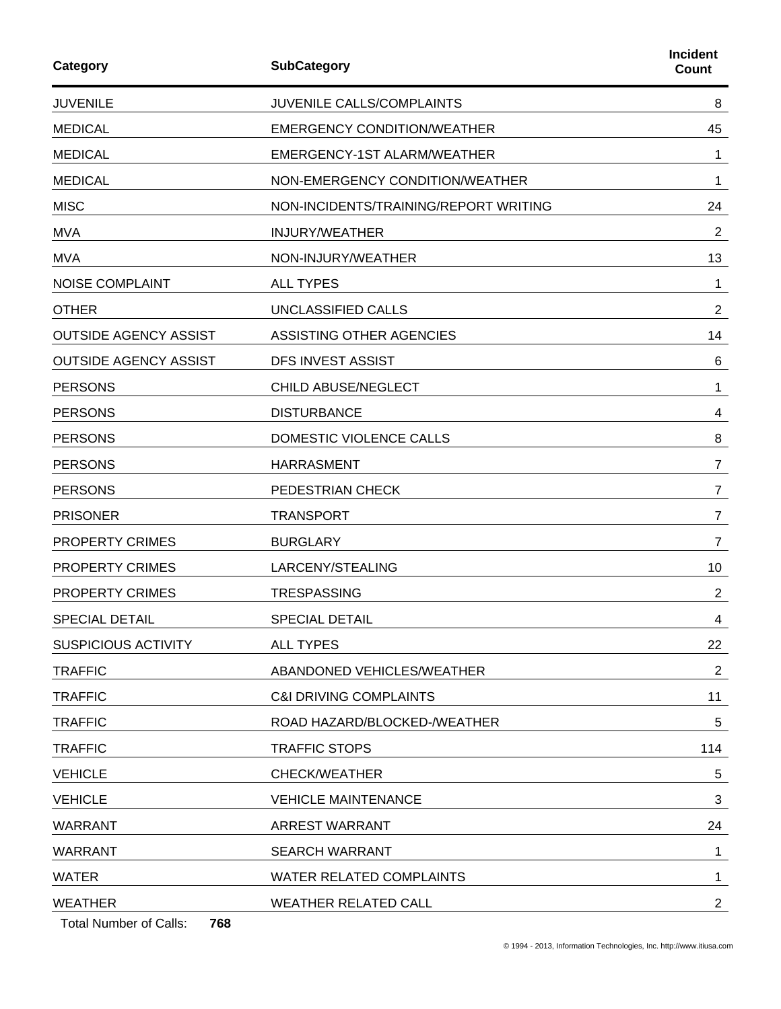| Category                                               | <b>SubCategory</b>                    | <b>Incident</b><br>Count |
|--------------------------------------------------------|---------------------------------------|--------------------------|
| <b>JUVENILE</b>                                        | JUVENILE CALLS/COMPLAINTS             | 8                        |
| <b>MEDICAL</b>                                         | <b>EMERGENCY CONDITION/WEATHER</b>    | 45                       |
| <b>MEDICAL</b>                                         | EMERGENCY-1ST ALARM/WEATHER           | 1                        |
| <b>MEDICAL</b>                                         | NON-EMERGENCY CONDITION/WEATHER       | 1                        |
| <b>MISC</b>                                            | NON-INCIDENTS/TRAINING/REPORT WRITING | 24                       |
| <b>MVA</b>                                             | <b>INJURY/WEATHER</b>                 | 2                        |
| <b>MVA</b>                                             | NON-INJURY/WEATHER                    | 13                       |
| <b>NOISE COMPLAINT</b>                                 | <b>ALL TYPES</b>                      | 1                        |
| <b>OTHER</b>                                           | UNCLASSIFIED CALLS                    | $\overline{2}$           |
| <b>OUTSIDE AGENCY ASSIST</b>                           | ASSISTING OTHER AGENCIES              | 14                       |
| <b>OUTSIDE AGENCY ASSIST</b>                           | <b>DFS INVEST ASSIST</b>              | 6                        |
| <b>PERSONS</b>                                         | CHILD ABUSE/NEGLECT                   | 1                        |
| <b>PERSONS</b>                                         | <b>DISTURBANCE</b>                    | 4                        |
| <b>PERSONS</b>                                         | DOMESTIC VIOLENCE CALLS               | 8                        |
| <b>PERSONS</b>                                         | <b>HARRASMENT</b>                     | 7                        |
| <b>PERSONS</b>                                         | PEDESTRIAN CHECK                      | $\overline{7}$           |
| <b>PRISONER</b>                                        | <b>TRANSPORT</b>                      | $\overline{7}$           |
| <b>PROPERTY CRIMES</b>                                 | <b>BURGLARY</b>                       | 7                        |
| PROPERTY CRIMES                                        | LARCENY/STEALING                      | 10                       |
| <b>PROPERTY CRIMES</b>                                 | <b>TRESPASSING</b>                    | $\overline{2}$           |
| SPECIAL DETAIL                                         | <b>SPECIAL DETAIL</b>                 | 4                        |
| <b>SUSPICIOUS ACTIVITY</b>                             | <b>ALL TYPES</b>                      | 22                       |
| <b>TRAFFIC</b>                                         | ABANDONED VEHICLES/WEATHER            | 2                        |
| <b>TRAFFIC</b>                                         | <b>C&amp;I DRIVING COMPLAINTS</b>     | 11                       |
| <b>TRAFFIC</b>                                         | ROAD HAZARD/BLOCKED-/WEATHER          | 5                        |
| <b>TRAFFIC</b>                                         | <b>TRAFFIC STOPS</b>                  | 114                      |
| <b>VEHICLE</b>                                         | <b>CHECK/WEATHER</b>                  | 5                        |
| <b>VEHICLE</b>                                         | <b>VEHICLE MAINTENANCE</b>            | 3                        |
| <b>WARRANT</b>                                         | <b>ARREST WARRANT</b>                 | 24                       |
| <b>WARRANT</b>                                         | <b>SEARCH WARRANT</b>                 | 1                        |
| <b>WATER</b>                                           | <b>WATER RELATED COMPLAINTS</b>       | 1                        |
| <b>WEATHER</b><br><b>Total Number of Calls:</b><br>768 | <b>WEATHER RELATED CALL</b>           | $\mathbf{2}$             |